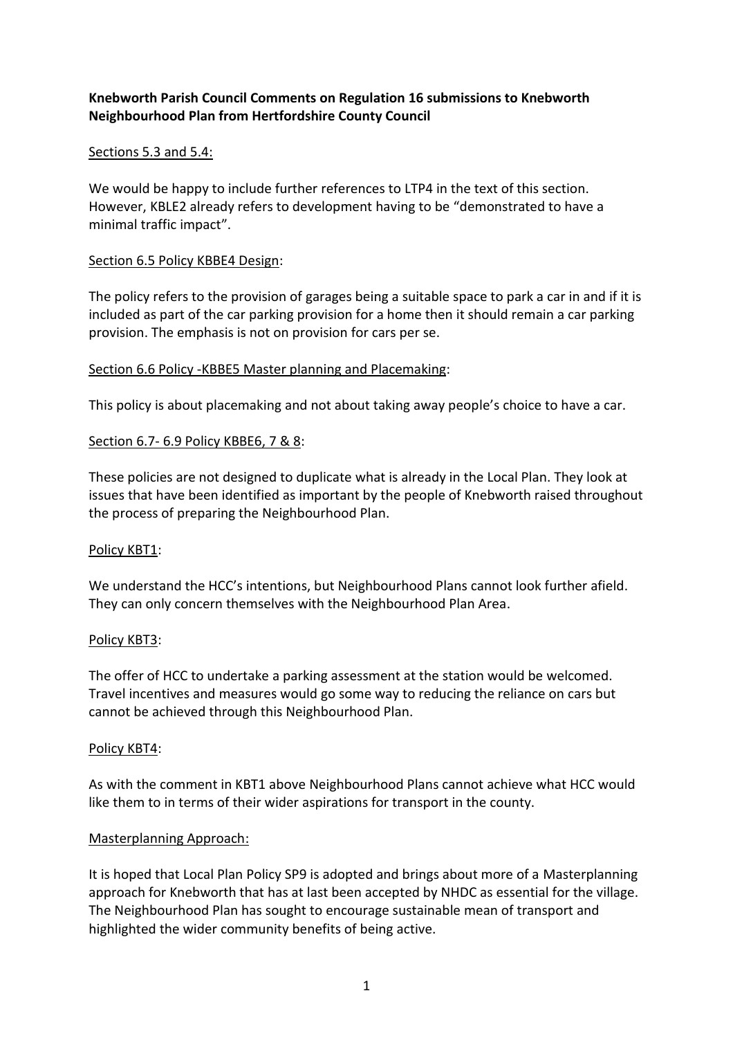# **Knebworth Parish Council Comments on Regulation 16 submissions to Knebworth Neighbourhood Plan from Hertfordshire County Council**

## Sections 5.3 and 5.4:

We would be happy to include further references to LTP4 in the text of this section. However, KBLE2 already refers to development having to be "demonstrated to have a minimal traffic impact".

### Section 6.5 Policy KBBE4 Design:

The policy refers to the provision of garages being a suitable space to park a car in and if it is included as part of the car parking provision for a home then it should remain a car parking provision. The emphasis is not on provision for cars per se.

### Section 6.6 Policy -KBBE5 Master planning and Placemaking:

This policy is about placemaking and not about taking away people's choice to have a car.

### Section 6.7- 6.9 Policy KBBE6, 7 & 8:

These policies are not designed to duplicate what is already in the Local Plan. They look at issues that have been identified as important by the people of Knebworth raised throughout the process of preparing the Neighbourhood Plan.

#### Policy KBT1:

We understand the HCC's intentions, but Neighbourhood Plans cannot look further afield. They can only concern themselves with the Neighbourhood Plan Area.

#### Policy KBT3:

The offer of HCC to undertake a parking assessment at the station would be welcomed. Travel incentives and measures would go some way to reducing the reliance on cars but cannot be achieved through this Neighbourhood Plan.

#### Policy KBT4:

As with the comment in KBT1 above Neighbourhood Plans cannot achieve what HCC would like them to in terms of their wider aspirations for transport in the county.

## Masterplanning Approach:

It is hoped that Local Plan Policy SP9 is adopted and brings about more of a Masterplanning approach for Knebworth that has at last been accepted by NHDC as essential for the village. The Neighbourhood Plan has sought to encourage sustainable mean of transport and highlighted the wider community benefits of being active.